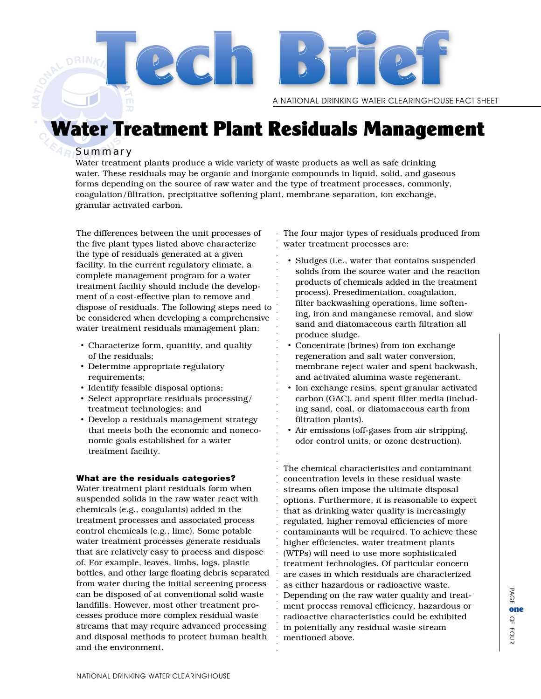A NATIONAL DRINKING WATER CLEARINGHOUSE FACT SHEET

# Water Treatment Plant Residuals Management

#### Summary

Water treatment plants produce a wide variety of waste products as well as safe drinking water. These residuals may be organic and inorganic compounds in liquid, solid, and gaseous forms depending on the source of raw water and the type of treatment processes, commonly, coagulation/filtration, precipitative softening plant, membrane separation, ion exchange, granular activated carbon.

aaaaaaaaaaaaaaaaaaaaaaaaaaaaaaaaaaaaaaa

The differences between the unit processes of the five plant types listed above characterize the type of residuals generated at a given facility. In the current regulatory climate, a complete management program for a water treatment facility should include the development of a cost-effective plan to remove and dispose of residuals. The following steps need to be considered when developing a comprehensive water treatment residuals management plan:

- Characterize form, quantity, and quality of the residuals;
- Determine appropriate regulatory requirements;
- Identify feasible disposal options;
- Select appropriate residuals processing/ treatment technologies; and
- Develop a residuals management strategy that meets both the economic and noneconomic goals established for a water treatment facility.

#### **What are the residuals categories?**

Water treatment plant residuals form when suspended solids in the raw water react with chemicals (e.g., coagulants) added in the treatment processes and associated process control chemicals (e.g., lime). Some potable water treatment processes generate residuals that are relatively easy to process and dispose of. For example, leaves, limbs, logs, plastic bottles, and other large floating debris separated from water during the initial screening process can be disposed of at conventional solid waste landfills. However, most other treatment processes produce more complex residual waste streams that may require advanced processing and disposal methods to protect human health and the environment.

The four major types of residuals produced from water treatment processes are:

- Sludges (i.e., water that contains suspended solids from the source water and the reaction products of chemicals added in the treatment process). Presedimentation, coagulation, filter backwashing operations, lime softening, iron and manganese removal, and slow sand and diatomaceous earth filtration all produce sludge.
- Concentrate (brines) from ion exchange regeneration and salt water conversion, membrane reject water and spent backwash, and activated alumina waste regenerant.
- Ion exchange resins, spent granular activated carbon (GAC), and spent filter media (including sand, coal, or diatomaceous earth from filtration plants).
- Air emissions (off-gases from air stripping, odor control units, or ozone destruction).

Final as drinking water quality is increasingly<br>
Expected, higher removal efficiencies of more<br>
contaminants will be required. To achieve these<br>
[higher efficiencies, water treatment plants<br>
(WTPs) will need to use more s The chemical characteristics and contaminant concentration levels in these residual waste streams often impose the ultimate disposal options. Furthermore, it is reasonable to expect that as drinking water quality is increasingly regulated, higher removal efficiencies of more contaminants will be required. To achieve these higher efficiencies, water treatment plants (WTPs) will need to use more sophisticated treatment technologies. Of particular concern are cases in which residuals are characterized as either hazardous or radioactive waste. Depending on the raw water quality and treatment process removal efficiency, hazardous or radioactive characteristics could be exhibited in potentially any residual waste stream mentioned above.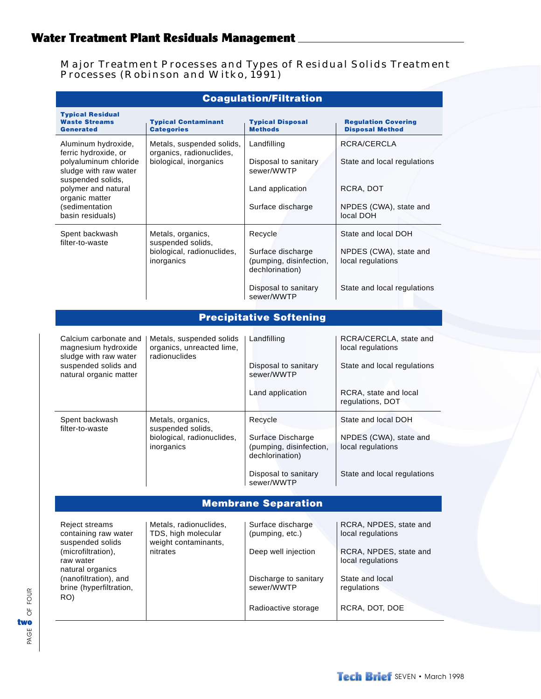### Major Treatment Processes and Types of Residual Solids Treatment Processes (Robinson and Witko, 1991)

| <b>Coagulation/Filtration</b>                                                                                                                                                |                                                                                    |                                                                 |                                                      |  |
|------------------------------------------------------------------------------------------------------------------------------------------------------------------------------|------------------------------------------------------------------------------------|-----------------------------------------------------------------|------------------------------------------------------|--|
| <b>Typical Residual</b><br><b>Waste Streams</b><br>Generated                                                                                                                 | <b>Typical Contaminant</b><br><b>Categories</b>                                    | <b>Typical Disposal</b><br><b>Methods</b>                       | <b>Regulation Covering</b><br><b>Disposal Method</b> |  |
| Aluminum hydroxide,<br>ferric hydroxide, or<br>polyaluminum chloride<br>sludge with raw water<br>suspended solids,<br>polymer and natural                                    | Metals, suspended solids,<br>organics, radionuclides,<br>biological, inorganics    | Landfilling                                                     | RCRA/CERCLA                                          |  |
|                                                                                                                                                                              |                                                                                    | Disposal to sanitary<br>sewer/WWTP                              | State and local regulations                          |  |
|                                                                                                                                                                              |                                                                                    | Land application                                                | RCRA, DOT                                            |  |
| organic matter<br>(sedimentation<br>basin residuals)                                                                                                                         |                                                                                    | Surface discharge                                               | NPDES (CWA), state and<br>local DOH                  |  |
| Spent backwash<br>filter-to-waste                                                                                                                                            | Metals, organics,<br>suspended solids,<br>biological, radionuclides,<br>inorganics | Recycle                                                         | State and local DOH                                  |  |
|                                                                                                                                                                              |                                                                                    | Surface discharge<br>(pumping, disinfection,<br>dechlorination) | NPDES (CWA), state and<br>local regulations          |  |
|                                                                                                                                                                              |                                                                                    | Disposal to sanitary<br>sewer/WWTP                              | State and local regulations                          |  |
|                                                                                                                                                                              |                                                                                    | <b>Precipitative Softening</b>                                  |                                                      |  |
| Calcium carbonate and<br>magnesium hydroxide<br>sludge with raw water<br>suspended solids and<br>natural organic matter                                                      | Metals, suspended solids<br>organics, unreacted lime,<br>radionuclides             | Landfilling                                                     | RCRA/CERCLA, state and<br>local regulations          |  |
|                                                                                                                                                                              |                                                                                    | Disposal to sanitary<br>sewer/WWTP                              | State and local regulations                          |  |
|                                                                                                                                                                              |                                                                                    | Land application                                                | RCRA, state and local<br>regulations, DOT            |  |
| Spent backwash<br>filter-to-waste                                                                                                                                            | Metals, organics,<br>suspended solids,<br>biological, radionuclides,<br>inorganics | Recycle                                                         | State and local DOH                                  |  |
|                                                                                                                                                                              |                                                                                    | Surface Discharge<br>(pumping, disinfection,<br>dechlorination) | NPDES (CWA), state and<br>local regulations          |  |
|                                                                                                                                                                              |                                                                                    | Disposal to sanitary<br>sewer/WWTP                              | State and local regulations                          |  |
| <b>Membrane Separation</b>                                                                                                                                                   |                                                                                    |                                                                 |                                                      |  |
| Reject streams<br>containing raw water<br>suspended solids<br>(microfiltration),<br>raw water<br>natural organics<br>(nanofiltration), and<br>brine (hyperfiltration,<br>RO) | Metals, radionuclides,<br>TDS, high molecular<br>weight contaminants,<br>nitrates  | Surface discharge<br>(pumping, etc.)                            | RCRA, NPDES, state and<br>local regulations          |  |
|                                                                                                                                                                              |                                                                                    | Deep well injection                                             | RCRA, NPDES, state and<br>local regulations          |  |
|                                                                                                                                                                              |                                                                                    | Discharge to sanitary<br>sewer/WWTP                             | State and local<br>regulations                       |  |
|                                                                                                                                                                              |                                                                                    | Radioactive storage                                             | RCRA, DOT, DOE                                       |  |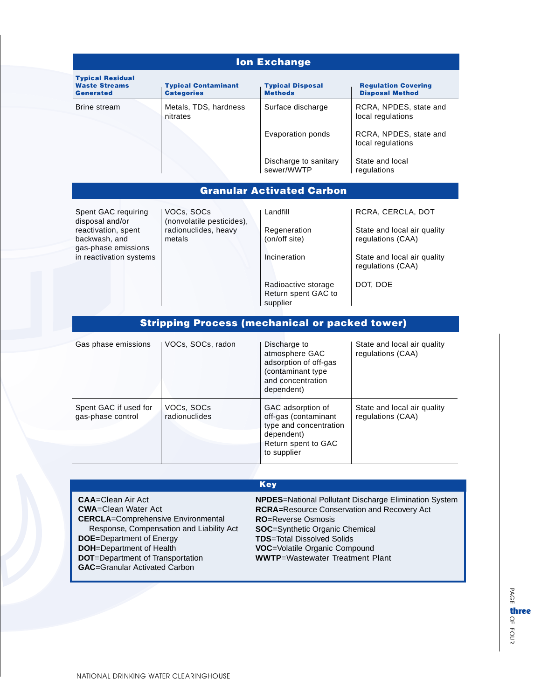| <b>Ion Exchange</b>                                                                                                              |                                                                           |                                                                                                                                                                                          |                                                      |  |  |
|----------------------------------------------------------------------------------------------------------------------------------|---------------------------------------------------------------------------|------------------------------------------------------------------------------------------------------------------------------------------------------------------------------------------|------------------------------------------------------|--|--|
| <b>Typical Residual</b><br><b>Waste Streams</b><br><b>Generated</b>                                                              | <b>Typical Contaminant</b><br><b>Categories</b>                           | <b>Typical Disposal</b><br><b>Methods</b>                                                                                                                                                | <b>Regulation Covering</b><br><b>Disposal Method</b> |  |  |
| Brine stream                                                                                                                     | Metals, TDS, hardness<br>nitrates                                         | Surface discharge                                                                                                                                                                        | RCRA, NPDES, state and<br>local regulations          |  |  |
|                                                                                                                                  |                                                                           | Evaporation ponds                                                                                                                                                                        | RCRA, NPDES, state and<br>local regulations          |  |  |
|                                                                                                                                  |                                                                           | Discharge to sanitary<br>sewer/WWTP                                                                                                                                                      | State and local<br>regulations                       |  |  |
|                                                                                                                                  |                                                                           | <b>Granular Activated Carbon</b>                                                                                                                                                         |                                                      |  |  |
| Spent GAC requiring<br>disposal and/or<br>reactivation, spent<br>backwash, and<br>gas-phase emissions<br>in reactivation systems | VOCs, SOCs<br>(nonvolatile pesticides),<br>radionuclides, heavy<br>metals | Landfill                                                                                                                                                                                 | RCRA, CERCLA, DOT                                    |  |  |
|                                                                                                                                  |                                                                           | Regeneration<br>(on/off site)                                                                                                                                                            | State and local air quality<br>regulations (CAA)     |  |  |
|                                                                                                                                  |                                                                           | Incineration                                                                                                                                                                             | State and local air quality<br>regulations (CAA)     |  |  |
|                                                                                                                                  |                                                                           | Radioactive storage<br>Return spent GAC to<br>supplier                                                                                                                                   | DOT, DOE                                             |  |  |
|                                                                                                                                  | <b>Stripping Process (mechanical or packed tower)</b>                     |                                                                                                                                                                                          |                                                      |  |  |
| Gas phase emissions                                                                                                              | VOCs, SOCs, radon                                                         | Discharge to<br>atmosphere GAC<br>adsorption of off-gas<br>(contaminant type<br>and concentration<br>dependent)                                                                          | State and local air quality<br>regulations (CAA)     |  |  |
| Spent GAC if used for<br>gas-phase control                                                                                       | VOCs, SOCs<br>radionuclides                                               | GAC adsorption of<br>off-gas (contaminant<br>type and concentration<br>dependent)<br>Return spent to GAC<br>to supplier                                                                  | State and local air quality<br>regulations (CAA)     |  |  |
|                                                                                                                                  |                                                                           | <b>Key</b>                                                                                                                                                                               |                                                      |  |  |
|                                                                                                                                  |                                                                           |                                                                                                                                                                                          |                                                      |  |  |
| <b>CAA</b> =Clean Air Act<br><b>CWA=Clean Water Act</b><br><b>CERCLA=Comprehensive Environmental</b>                             | Response, Compensation and Liability Act                                  | <b>NPDES=National Pollutant Discharge Elimination System</b><br><b>RCRA=Resource Conservation and Recovery Act</b><br><b>RO=Reverse Osmosis</b><br><b>SOC=Synthetic Organic Chemical</b> |                                                      |  |  |

- **DOE**=Department of Energy
- **DOH**=Department of Health
- **DOT**=Department of Transportation **GAC**=Granular Activated Carbon

Synthetic Orga **TDS**=Total Dissolved Solids **VOC**=Volatile Organic Compound **WWTP**=Wastewater Treatment Plant

> PAGE OF FOUR  $\frac{1}{2}$ <br> $\frac{1}{2}$ <br> $\frac{1}{2}$ <br> $\frac{1}{2}$ <br> $\frac{1}{2}$ <br> $\frac{1}{2}$ <br> $\frac{1}{2}$ <br> $\frac{1}{2}$ <br> $\frac{1}{2}$ <br> $\frac{1}{2}$ <br><br> $\frac{1}{2}$ <br><br><br><br><br><br><br><br><br><br><br><br><br><br><br><br><br><br><br><br><br><br><br><br><br><br><br><br><br><br><br>